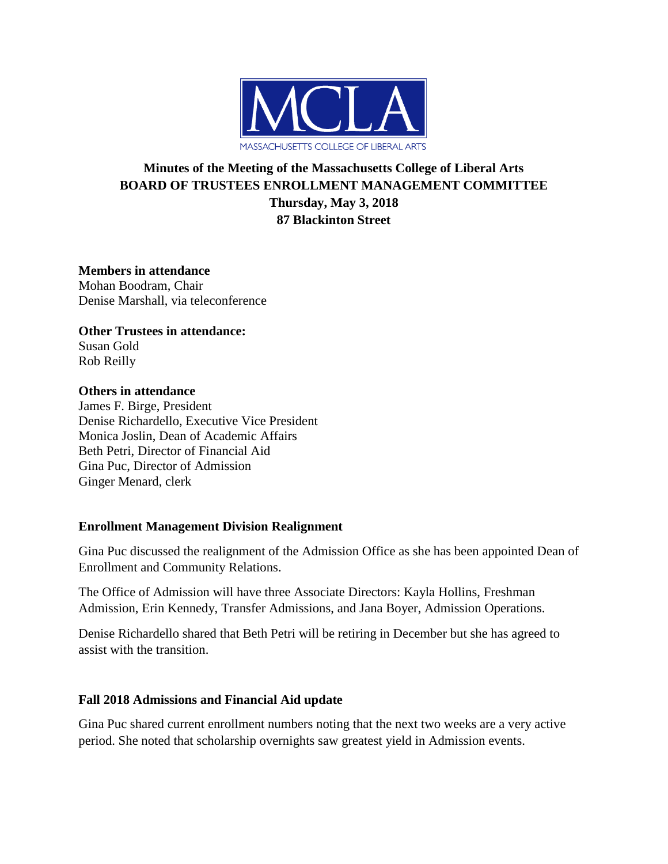

# **Minutes of the Meeting of the Massachusetts College of Liberal Arts BOARD OF TRUSTEES ENROLLMENT MANAGEMENT COMMITTEE Thursday, May 3, 2018 87 Blackinton Street**

**Members in attendance** Mohan Boodram, Chair Denise Marshall, via teleconference

**Other Trustees in attendance:** Susan Gold Rob Reilly

### **Others in attendance**

James F. Birge, President Denise Richardello, Executive Vice President Monica Joslin, Dean of Academic Affairs Beth Petri, Director of Financial Aid Gina Puc, Director of Admission Ginger Menard, clerk

#### **Enrollment Management Division Realignment**

Gina Puc discussed the realignment of the Admission Office as she has been appointed Dean of Enrollment and Community Relations.

The Office of Admission will have three Associate Directors: Kayla Hollins, Freshman Admission, Erin Kennedy, Transfer Admissions, and Jana Boyer, Admission Operations.

Denise Richardello shared that Beth Petri will be retiring in December but she has agreed to assist with the transition.

### **Fall 2018 Admissions and Financial Aid update**

Gina Puc shared current enrollment numbers noting that the next two weeks are a very active period. She noted that scholarship overnights saw greatest yield in Admission events.